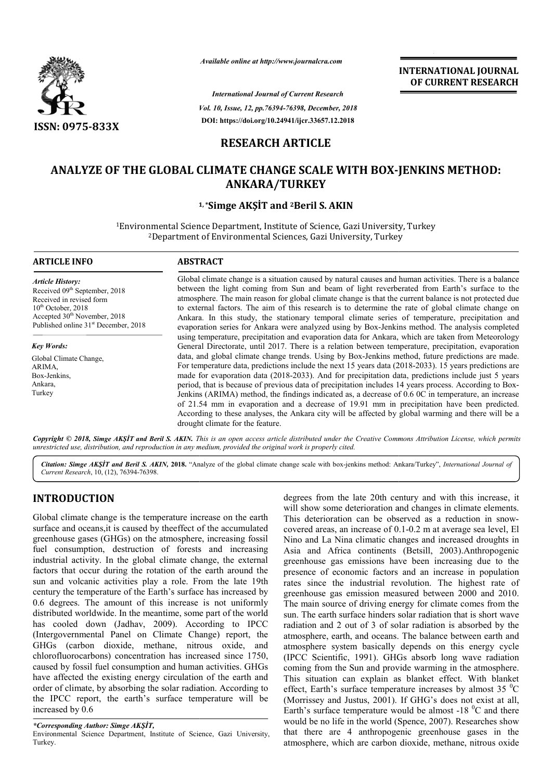

*Available online at http://www.journalcra.com*

*Vol. 10, Issue, 12, pp. pp.76394-76398, December, 2018 International Journal of Current Research* **DOI: https://doi.org/10.24941/ijcr.33657.12.2018**

**INTERNATIONAL JOURNAL OF CURRENT RESEARCH**

## **RESEARCH ARTICLE**

# **ANALYZE OF THE GLOBAL CLIMATE CHANGE SCALE WITH BOX BOX-JENKINS METHOD: JENKINS ANKARA/TURKEY**

## **1 1, \*Simge AKŞİT and 2Beril S. AKIN**

<sup>1</sup>Environmental Science Department, Institute of Science, Gazi University, Turkey 2Department of Environmental Sciences, Gazi University, Turkey Department

# **ARTICLE INFO ABSTRACT**

*Article History:* Received 09<sup>th</sup> September, 2018 Received in revised form 10<sup>th</sup> October, 2018 Accepted 30<sup>th</sup> November, 2018 Published online 31<sup>st</sup> December, 2018

*Key Words:* Global Climate Change, ARIMA, Box-Jenkins, Ankara, Turkey

Global climate change is a situation caused by natural causes and human activities. There is a balance between the light coming from Sun and beam of light reverberated from Earth's surface to the atmosphere. The main reason for global climate change is that the current balance is not protected due to external factors. The aim of this research is to determine the rate of global climate change on Ankara. In this study, the stationary temporal climate series of temperature, precipitation and evaporation series for Ankara were analyzed using by Box Box-Jenkins using temperature, precipitation and evaporation data for Ankara, which are taken from Meteorology General Directorate, until 2017. There is a relation between temperature, precipitation, evaporation data, and global climate change trends. Using by Box-Jenkins method, future predictions are made. using temperature, precipitation and evaporation data for Ankara, which are taken from Meteorology<br>General Directorate, until 2017. There is a relation between temperature, precipitation, evaporation<br>data, and global clima made for evaporation data (2018-2033). And for precipitation data, predictions include just 5 years period, that is because of previous data of precipitation includes 14 years process. According to Box-Jenkins (ARIMA) method, the findings indicated as, a decrease of 0.6 0C in temperature, an increase of 21.54 mm in evaporation and a d decrease of 19.91 mm in precipitation have been predicted. Jenkins (ARIMA) method, the findings indicated as, a decrease of 0.6 0C in temperature, an increase of 21.54 mm in evaporation and a decrease of 19.91 mm in precipitation have been predicted. According to these analyses, t drought climate for the feature. Global climate change is a situation caused by natural causes and human activities. There is a balance between the light coming from Sun and beam of light reverberated from Earth's surface to the atmosphere. The main reaso

Copyright © 2018, Simge AKŞİT and Beril S. AKIN. This is an open access article distributed under the Creative Commons Attribution License, which permits *unrestricted use, distribution, and reproduction in any medium, provided the original work is properly cited.*

Citation: Simge AKŞIT and Beril S. AKIN, 2018. "Analyze of the global climate change scale with box-jenkins method: Ankara/Turkey", *International Journal of Current Research*, 10, (12), 76394-76398.

# **INTRODUCTION**

Global climate change is the temperature increase on the earth surface and oceans,it is caused by theeffect of the accumulated greenhouse gases (GHGs) on the atmosphere, increasing fossil fuel consumption, destruction of forests and increasing surface and oceans, it is caused by theeffect of the accumulated<br>greenhouse gases (GHGs) on the atmosphere, increasing fossil<br>fuel consumption, destruction of forests and increasing<br>industrial activity. In the global clima factors that occur during the rotation of the earth around the sun and volcanic activities play a role. From the late 19th century the temperature of the Earth's surface has increased by 0.6 degrees. The amount of this increase is not uniformly distributed worldwide. In the meantime, some part of the world has cooled down (Jadhav, 2009). According to IPCC (Intergovernmental Panel on Climate Change) report, the GHGs (carbon dioxide, methane, nitrous oxide, and chlorofluorocarbons) concentration has increased since 1750, caused by fossil fuel consumption and human activities. GHGs have affected the existing energy circulation of the earth and order of climate, by absorbing the solar radiation. According to the IPCC report, the earth's surface temperature will be increased by 0.6

*\*Corresponding Author: Simge AKŞİT,*

Environmental Science Department, Institute of Science, Gazi University, Turkey.

**TRODUCTION** degrees from the late 20th century and with this increase, it<br>bal climate change is the temperature increase on the earth will show some deterioration and changes in climate clements.<br>Cace and occass, it is ca will show some deterioration and changes in climate elements. This deterioration can be observed as a reduction in snow covered areas, an increase of 0.1-0.2 m at average sea level, El Nino and La Nina climatic changes and increased droughts in Nino and La Nina climatic changes and increased droughts in Asia and Africa continents (Betsill, 2003).Anthropogenic greenhouse gas emissions have been increasing due to the greenhouse gas emissions have been increasing due to the presence of economic factors and an increase in population rates since the industrial revolution. The highest rate of greenhouse gas emission measured between 2000 and 2010. The main source of driving energy for climate comes from the sun. The earth surface hinders solar radiation that is short wave radiation and 2 out of 3 of solar radiation is absorbed by the atmosphere, earth, and oceans. The balance between earth and atmosphere system basically depends on this energy cycle (IPCC Scientific, 1991). GHGs absorb long coming from the Sun and provide warming in the atmosphere. coming from the Sun and provide warming in the atmosphere.<br>This situation can explain as blanket effect. With blanket effect, Earth's surface temperature increases by almost 35  $^0C$ (Morrissey and Justus, 2001). If GHG's does not exist at all, Earth's surface temperature would be almost -18  $\rm{^0C}$  and there would be no life in the world (Spence, 2007). Researches show that there are 4 anthropogenic greenhouse gases in the atmosphere, which are carbon dioxide, methane, nitrous oxide ate 20th century and with this increase, it<br>erioration and changes in climate elements.<br>can be observed as a reduction in snowrates since the industrial revolution. The highest rate of greenhouse gas emission measured between 2000 and 2010. The main source of driving energy for climate comes from the sun. The earth surface hinders solar radiation INTERNATIONAL JOURNAL<br>
OF CURRENT RESEARCH<br>
OF CURRENT RESEARCH<br>
Y<br>
y<br>
y<br>
y<br>
y<br>
y<br>
y<br>
whuman activities. There is a balance<br>
current balance is not protected due<br>
or teaming is not protected due<br>
of temperature, precipitat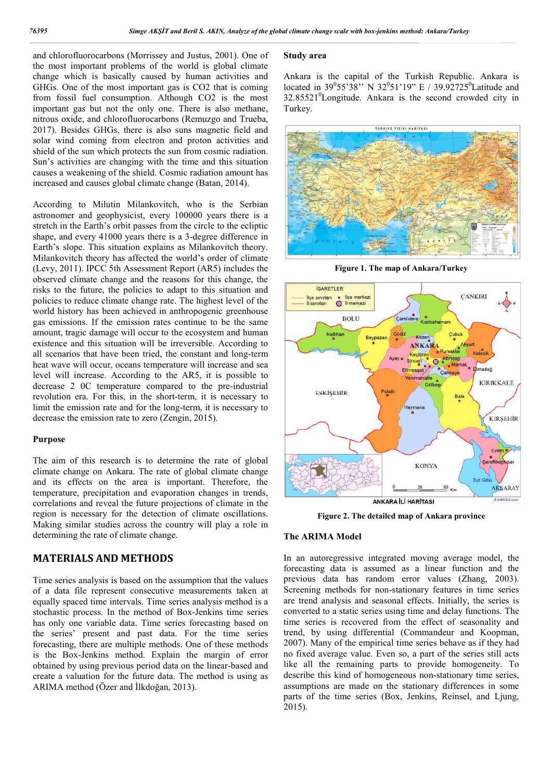and chlorofluorocarbons (Morrissey and Justus, 2001). One of the most important problems of the world is global climate change which is basically caused by human activities and GHGs. One of the most important gas is CO2 that is coming from fossil fuel consumption. Although CO2 is the most important gas but not the only one. There is also methane, nitrous oxide, and chlorofluorocarbons (Remuzgo 2017). Besides GHGs, there is also suns magnetic field and solar wind coming from electron and proton activities and shield of the sun which protects the sun from cosmic radiation. Sun's activities are changing with the time and this situation causes a weakening of the shield. Cosmic radiation amount has increased and causes global climate change (Batan (Batan, 2014). ch is basically caused by human activities and<br>of the most important gas is CO2 that is coming<br>fuel consumption. Although CO2 is the most<br>as but not the only one. There is also methane,<br>e, and chlorofluorocarbons (Remuzgo

According to Milutin Milankovitch, who is the Serbian astronomer and geophysicist, every 100000 years there is a stretch in the Earth's orbit passes from the circle to the ecliptic shape, and every 41000 years there is a 3-degree difference in Earth's slope. This situation explains as Milankovitch theory. Milankovitch theory has affected the world's order of climate (Levy, 2011). IPCC 5th Assessment Report (AR5) includes the observed climate change and the reasons for this change, the risks to the future, the policies to adapt to this situation and policies to reduce climate change rate. The highest level of the world history has been achieved in anthropogenic greenhouse gas emissions. If the emission rates continue to be the same amount, tragic damage will occur to the ecosystem and human existence and this situation will be irreversible. According to all scenarios that have been tried, the constant and long-term heat wave will occur, oceans temperature will increase and sea level will increase. According to the AR5, it is possible to decrease 2 0C temperature compared to the pre-industrial revolution era. For this, in the short-term, it is necessary to limit the emission rate and for the long-term, it is necessary to decrease the emission rate to zero (Zengin, 2015). every 41000 years there is a 3-degree difference in<br>pe. This situation explains as Milankovitch theory.<br>ch theory has affected the world's order of climate<br>1). IPCC 5th Assessment Report (AR5) includes the<br>limate change an

#### **Purpose**

The aim of this research is to determine the rate of global climate change on Ankara. The rate of global climate change and its effects on the area is important. Therefore, the temperature, precipitation and evaporation changes in trends, correlations and reveal the future projections of climate in the region is necessary for the detection of climate oscillations. Making similar studies across the country will play a role in determining the rate of climate change.

## **MATERIALS AND METHODS**

Time series analysis is based on the assumption that the values of a data file represent consecutive measurements taken at equally spaced time intervals. Time series analysis method is a stochastic process. In the method of Box-Jenkins time series has only one variable data. Time series forecasting based on the series' present and past data. For the time series forecasting, there are multiple methods. One of these methods is the Box-Jenkins method. Explain the margin of error obtained by using previous period data on the linear create a valuation for the future data. The method is using as ARIMA method (Özer and İlkdoğan, 2013). ocess. In the method of Box-Jenkins time series<br>
be variable data. Time series forecasting based on<br>
present and past data. For the time series<br>
here are multiple methods. One of these methods<br>
Jenkins method. Explain the

#### **Study area**

Ankara is the capital of the Turkish Republic. Ankara is located in 39<sup>0</sup>55'38'' N 32<sup>0</sup>51'19" E / 39.92725<sup>0</sup>Latitude and  $32.85521^0$ Longitude. Ankara is the second crowded city in Turkey.



**Figure 1. The map of Ankara/Turkey Ankara/Turkey**



**Figure 2. The detailed map of Ankara province**

#### **The ARIMA Model**

In an autoregressive integrated moving average model, the forecasting data is assumed as a linear function and the In an autoregressive integrated moving average model, the forecasting data is assumed as a linear function and the previous data has random error values (Zhang, 2003). Screening methods for non-stationary features in time series are trend analysis and seasonal effects. Initially, the series is converted to a static series using time and delay functions. The time series is recovered from the effect of seasonality and trend, by using differential (Commandeur and Koopman, 2007). Many of the empirical time series behave as if they had 2007). Many of the empirical time series behave as if they had no fixed average value. Even so, a part of the series still acts like all the remaining parts to provide homogeneity. To like all the remaining parts to provide homogeneity. To describe this kind of homogeneous non-stationary time series, assumptions are made on the stationary differences in some assumptions are made on the stationary differences in some<br>parts of the time series (Box, Jenkins, Reinsel, and Ljung, 2015). stationary features in time series<br>nal effects. Initially, the series is<br>sing time and delay functions. The<br>om the effect of seasonality and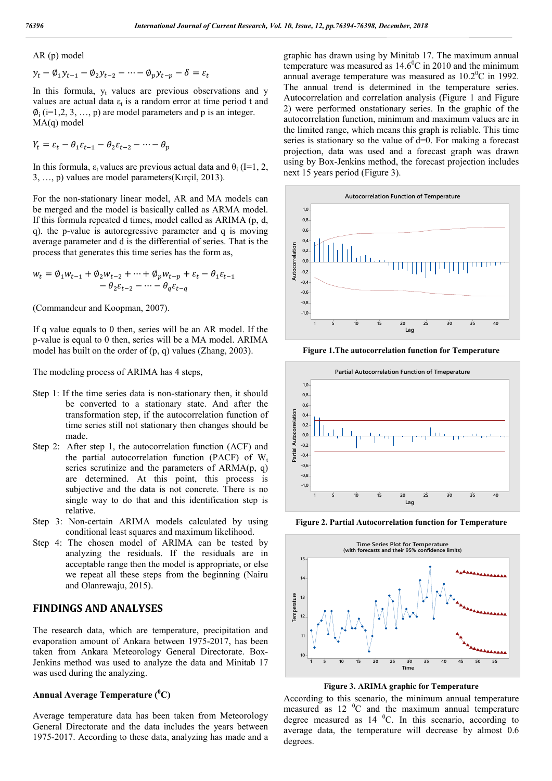AR (p) model

$$
y_t - \emptyset_1 y_{t-1} - \emptyset_2 y_{t-2} - \dots - \emptyset_p y_{t-p} - \delta = \varepsilon_t
$$

In this formula,  $y_t$  values are previous observations and y values are actual data  $\varepsilon_t$  is a random error at time period t and  $\phi_i$  (i=1,2, 3, ..., p) are model parameters and p is an integer. MA(q) model

$$
Y_t = \varepsilon_t - \theta_1 \varepsilon_{t-1} - \theta_2 \varepsilon_{t-2} - \dots - \theta_p
$$

In this formula,  $\varepsilon_t$  values are previous actual data and  $\theta_i$  (I=1, 2, 3, …, p) values are model parameters(Kırçil, 2013).

For the non-stationary linear model, AR and MA models can be merged and the model is basically called as ARMA model. If this formula repeated d times, model called as ARIMA (p, d, q). the p-value is autoregressive parameter and q is moving average parameter and d is the differential of series. That is the process that generates this time series has the form as,

$$
w_t = \emptyset_1 w_{t-1} + \emptyset_2 w_{t-2} + \dots + \emptyset_p w_{t-p} + \varepsilon_t - \theta_1 \varepsilon_{t-1}
$$
  
-  $\theta_2 \varepsilon_{t-2} - \dots - \theta_q \varepsilon_{t-q}$ 

(Commandeur and Koopman, 2007).

If q value equals to 0 then, series will be an AR model. If the p-value is equal to 0 then, series will be a MA model. ARIMA model has built on the order of (p, q) values (Zhang, 2003).

The modeling process of ARIMA has 4 steps,

- Step 1: If the time series data is non-stationary then, it should be converted to a stationary state. And after the transformation step, if the autocorrelation function of time series still not stationary then changes should be made.
- Step 2: After step 1, the autocorrelation function (ACF) and the partial autocorrelation function (PACF) of  $W_t$ series scrutinize and the parameters of  $ARMA(p, q)$ are determined. At this point, this process is subjective and the data is not concrete. There is no single way to do that and this identification step is relative.
- Step 3: Non-certain ARIMA models calculated by using conditional least squares and maximum likelihood.
- Step 4: The chosen model of ARIMA can be tested by analyzing the residuals. If the residuals are in acceptable range then the model is appropriate, or else we repeat all these steps from the beginning (Nairu and Olanrewaju, 2015).

## **FINDINGS AND ANALYSES**

The research data, which are temperature, precipitation and evaporation amount of Ankara between 1975-2017, has been taken from Ankara Meteorology General Directorate. Box-Jenkins method was used to analyze the data and Minitab 17 was used during the analyzing.

## **Annual Average Temperature (<sup>0</sup> C)**

Average temperature data has been taken from Meteorology General Directorate and the data includes the years between 1975-2017. According to these data, analyzing has made and a graphic has drawn using by Minitab 17. The maximum annual temperature was measured as  $14.6\degree$ C in 2010 and the minimum annual average temperature was measured as  $10.2^{\circ}$ C in 1992. The annual trend is determined in the temperature series. Autocorrelation and correlation analysis (Figure 1 and Figure 2) were performed onstationary series. In the graphic of the autocorrelation function, minimum and maximum values are in the limited range, which means this graph is reliable. This time series is stationary so the value of d=0. For making a forecast projection, data was used and a forecast graph was drawn using by Box-Jenkins method, the forecast projection includes next 15 years period (Figure 3).



**Figure 1.The autocorrelation function for Temperature**



**Figure 2. Partial Autocorrelation function for Temperature**



**Figure 3. ARIMA graphic for Temperature**

According to this scenario, the minimum annual temperature measured as  $12 \text{ °C}$  and the maximum annual temperature degree measured as  $14\text{ }^0C$ . In this scenario, according to average data, the temperature will decrease by almost 0.6 degrees.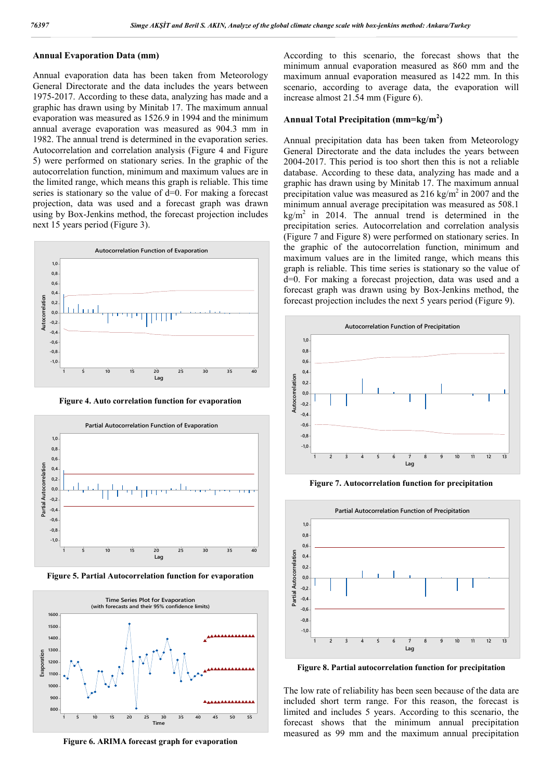#### **Annual Evaporation Data (mm)**

Annual evaporation data has been taken from Meteorology General Directorate and the data includes the years between 1975-2017. According to these data, analyzing has made and a graphic has drawn using by Minitab 17. The maximum annual evaporation was measured as 1526.9 in 1994 and the minimum annual average evaporation was measured as 904.3 mm in 1982. The annual trend is determined in the evaporation series. Autocorrelation and correlation analysis (Figure 4 and Figure 5) were performed on stationary series. In the graphic of the autocorrelation function, minimum and maximum values are in the limited range, which means this graph is reliable. This time series is stationary so the value of d=0. For making a forecast projection, data was used and a forecast graph was drawn using by Box-Jenkins method, the forecast projection includes next 15 years period (Figure 3).







**Figure 5. Partial Autocorrelation function for evaporation**



**Figure 6. ARIMA forecast graph for evaporation**

According to this scenario, the forecast shows that the minimum annual evaporation measured as 860 mm and the maximum annual evaporation measured as 1422 mm. In this scenario, according to average data, the evaporation will increase almost 21.54 mm (Figure 6).

## **Annual Total Precipitation (mm=kg/m2 )**

Annual precipitation data has been taken from Meteorology General Directorate and the data includes the years between 2004-2017. This period is too short then this is not a reliable database. According to these data, analyzing has made and a graphic has drawn using by Minitab 17. The maximum annual precipitation value was measured as  $216 \text{ kg/m}^2$  in 2007 and the minimum annual average precipitation was measured as 508.1  $kg/m<sup>2</sup>$  in 2014. The annual trend is determined in the precipitation series. Autocorrelation and correlation analysis (Figure 7 and Figure 8) were performed on stationary series. In the graphic of the autocorrelation function, minimum and maximum values are in the limited range, which means this graph is reliable. This time series is stationary so the value of d=0. For making a forecast projection, data was used and a forecast graph was drawn using by Box-Jenkins method, the forecast projection includes the next 5 years period (Figure 9).



**Figure 7. Autocorrelation function for precipitation**



**Figure 8. Partial autocorrelation function for precipitation**

The low rate of reliability has been seen because of the data are included short term range. For this reason, the forecast is limited and includes 5 years. According to this scenario, the forecast shows that the minimum annual precipitation measured as 99 mm and the maximum annual precipitation